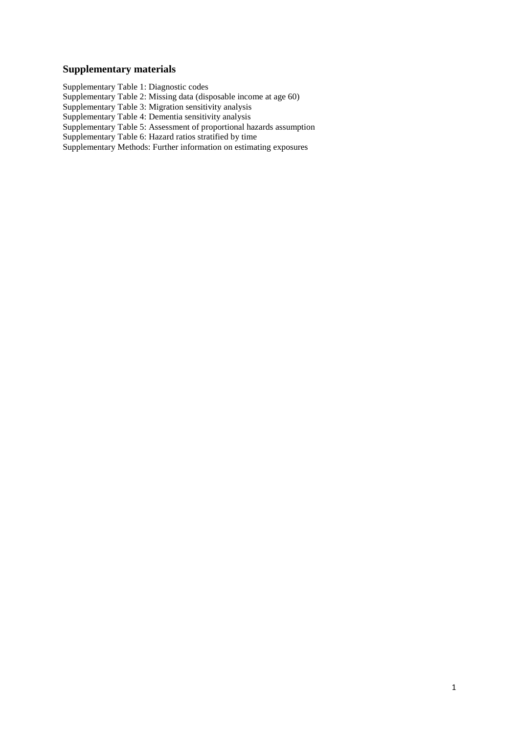# **Supplementary materials**

Supplementary Table 1: Diagnostic codes Supplementary Table 2: Missing data (disposable income at age 60) Supplementary Table 3: Migration sensitivity analysis Supplementary Table 4: Dementia sensitivity analysis Supplementary Table 5: Assessment of proportional hazards assumption Supplementary Table 6: Hazard ratios stratified by time Supplementary Methods: Further information on estimating exposures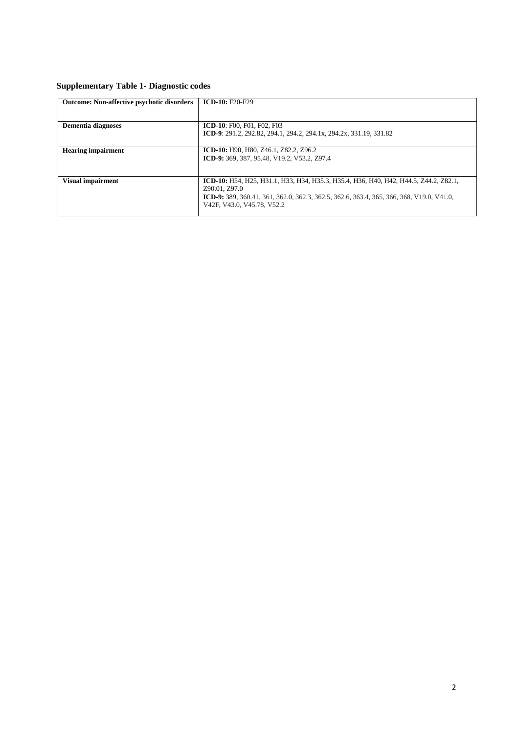# **Supplementary Table 1- Diagnostic codes**

| <b>Outcome: Non-affective psychotic disorders</b> | $ICD-10: F20-F29$                                                                                                                                                                                                               |
|---------------------------------------------------|---------------------------------------------------------------------------------------------------------------------------------------------------------------------------------------------------------------------------------|
| <b>Dementia diagnoses</b>                         | <b>ICD-10: F00, F01, F02, F03</b><br>ICD-9: 291.2, 292.82, 294.1, 294.2, 294.1x, 294.2x, 331.19, 331.82                                                                                                                         |
| <b>Hearing impairment</b>                         | ICD-10: H90, H80, Z46.1, Z82.2, Z96.2<br>ICD-9: 369, 387, 95.48, V19.2, V53.2, Z97.4                                                                                                                                            |
| <b>Visual impairment</b>                          | ICD-10: H54, H25, H31.1, H33, H34, H35.3, H35.4, H36, H40, H42, H44.5, Z44.2, Z82.1,<br>Z90.01, Z97.0<br>ICD-9: 389, 360.41, 361, 362.0, 362.3, 362.5, 362.6, 363.4, 365, 366, 368, V19.0, V41.0,<br>V42F, V43.0, V45.78, V52.2 |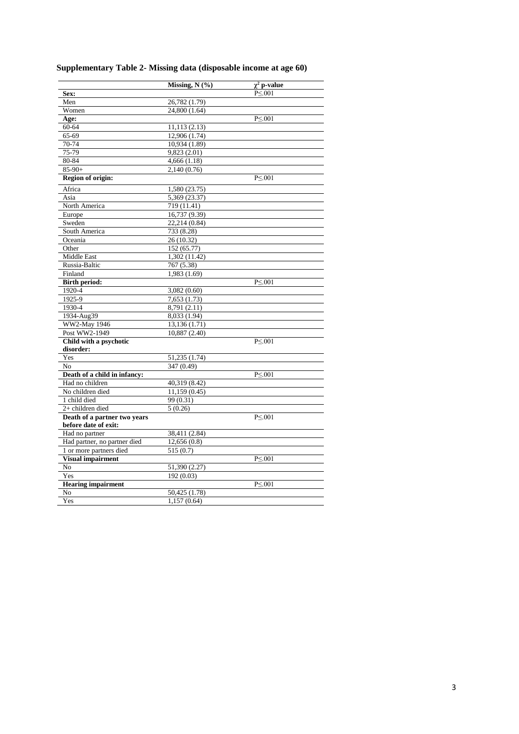|  |  | Supplementary Table 2- Missing data (disposable income at age 60) |  |  |
|--|--|-------------------------------------------------------------------|--|--|
|  |  |                                                                   |  |  |

|                                                 | Missing, N (%)            | $\chi^2$ p-value |  |
|-------------------------------------------------|---------------------------|------------------|--|
| Sex:                                            |                           | $P \le 0.01$     |  |
| Men                                             | 26,782 (1.79)             |                  |  |
| Women                                           | 24,800 (1.64)             |                  |  |
| Age:                                            |                           | $P \le 001$      |  |
| 60-64                                           | 11,113(2.13)              |                  |  |
| 65-69                                           | 12,906 (1.74)             |                  |  |
| 70-74                                           | 10,934 (1.89)             |                  |  |
| 75-79                                           | 9,823 (2.01)              |                  |  |
| 80-84                                           | 4,666(1.18)               |                  |  |
| $85-90+$                                        | 2,140 (0.76)              |                  |  |
| <b>Region of origin:</b>                        |                           | $P \le 001$      |  |
| Africa                                          | 1,580 (23.75)             |                  |  |
| Asia                                            | 5,369 (23.37)             |                  |  |
| North America                                   | 719 (11.41)               |                  |  |
| Europe                                          | 16,737 (9.39)             |                  |  |
| Sweden                                          | 22,214 (0.84)             |                  |  |
| South America                                   | 733 (8.28)                |                  |  |
| Oceania                                         | 26 (10.32)                |                  |  |
| Other                                           | 152 (65.77)               |                  |  |
| Middle East                                     | 1,302 (11.42)             |                  |  |
| Russia-Baltic                                   | 767 (5.38)                |                  |  |
| Finland                                         | 1,983 (1.69)              |                  |  |
| <b>Birth period:</b>                            |                           | $P \le 001$      |  |
| 1920-4                                          | 3,082 (0.60)              |                  |  |
| 1925-9                                          | 7,653 (1.73)              |                  |  |
| 1930-4                                          | 8,791(2.11)               |                  |  |
| 1934-Aug39                                      | 8,033 (1.94)              |                  |  |
| WW2-May 1946                                    | 13,136(1.71)              |                  |  |
| Post WW2-1949                                   | 10,887 (2.40)             |                  |  |
| Child with a psychotic                          |                           | $P \le 0.01$     |  |
| disorder:                                       |                           |                  |  |
| Yes                                             | 51,235 (1.74)             |                  |  |
| N <sub>o</sub>                                  | 347 (0.49)                |                  |  |
| Death of a child in infancy:<br>Had no children |                           | $P \le 0.001$    |  |
| No children died                                | 40,319 (8.42)             |                  |  |
| 1 child died                                    | 11,159(0.45)<br>99 (0.31) |                  |  |
| $2+$ children died                              | 5(0.26)                   |                  |  |
| Death of a partner two years                    |                           | $P \le 001$      |  |
| before date of exit:                            |                           |                  |  |
| Had no partner                                  | 38,411 (2.84)             |                  |  |
| Had partner, no partner died                    | 12,656(0.8)               |                  |  |
| 1 or more partners died                         | 515 (0.7)                 |                  |  |
| <b>Visual impairment</b>                        |                           | $P \le 001$      |  |
| No                                              | 51,390 (2.27)             |                  |  |
| Yes                                             | 192 (0.03)                |                  |  |
| <b>Hearing impairment</b>                       |                           | $P \le 0.01$     |  |
| No                                              | 50,425 (1.78)             |                  |  |
| Yes                                             | 1,157 (0.64)              |                  |  |
|                                                 |                           |                  |  |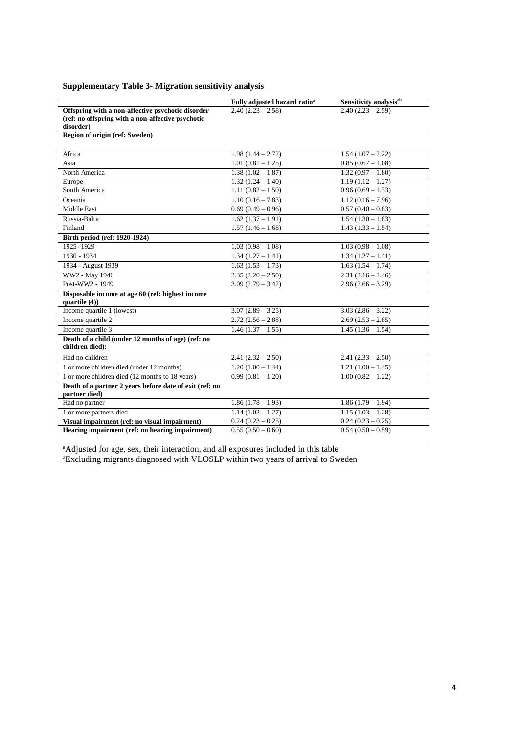# **Supplementary Table 3- Migration sensitivity analysis**

|                                                         | Fully adjusted hazard ratio <sup>a</sup> | Sensitivity analysis <sup>ab</sup> |
|---------------------------------------------------------|------------------------------------------|------------------------------------|
| Offspring with a non-affective psychotic disorder       | $2.40(2.23 - 2.58)$                      | $2.40(2.23 - 2.59)$                |
| (ref: no offspring with a non-affective psychotic       |                                          |                                    |
| disorder)                                               |                                          |                                    |
| Region of origin (ref: Sweden)                          |                                          |                                    |
| Africa                                                  | $\overline{1.98}$ (1.44 – 2.72)          | $1.54(1.07 - 2.22)$                |
| Asia                                                    | $1.01(0.81 - 1.25)$                      | $0.85(0.67 - 1.08)$                |
| North America                                           | $1.38(1.02 - 1.87)$                      | $1.32(0.97 - 1.80)$                |
| Europe                                                  | $1.32(1.24 - 1.40)$                      | $1.19(1.12 - 1.27)$                |
| South America                                           | $1.11(0.82 - 1.50)$                      | $0.96(0.69 - 1.33)$                |
| Oceania                                                 | $1.10(0.16 - 7.83)$                      | $1.12(0.16 - 7.96)$                |
| Middle East                                             | $0.69(0.49-0.96)$                        | $0.57(0.40 - 0.83)$                |
| Russia-Baltic                                           | $1.62(1.37 - 1.91)$                      | $1.54(1.30 - 1.83)$                |
| Finland                                                 | $1.57(1.46 - 1.68)$                      | $1.43(1.33 - 1.54)$                |
| Birth period (ref: 1920-1924)                           |                                          |                                    |
| 1925-1929                                               | $1.03(0.98-1.08)$                        | $1.03(0.98-1.08)$                  |
| 1930 - 1934                                             | $1.34(1.27 - 1.41)$                      | $1.34(1.27 - 1.41)$                |
| 1934 - August 1939                                      | $1.63(1.53 - 1.73)$                      | $1.63(1.54 - 1.74)$                |
| WW2 - May 1946                                          | $2.35(2.20-2.50)$                        | $2.31(2.16 - 2.46)$                |
| Post-WW2 - 1949                                         | $3.09(2.79 - 3.42)$                      | $2.96(2.66 - 3.29)$                |
| Disposable income at age 60 (ref: highest income        |                                          |                                    |
| quartile $(4)$ )                                        |                                          |                                    |
| Income quartile 1 (lowest)                              | $3.07(2.89 - 3.25)$                      | $3.03(2.86 - 3.22)$                |
| Income quartile 2                                       | $2.72(2.56 - 2.88)$                      | $2.69(2.53 - 2.85)$                |
| Income quartile 3                                       | $1.46(1.37 - 1.55)$                      | $1.45\overline{(1.36-1.54)}$       |
| Death of a child (under 12 months of age) (ref: no      |                                          |                                    |
| children died):                                         |                                          |                                    |
| Had no children                                         | $2.41(2.32 - 2.50)$                      | $2.41(2.33 - 2.50)$                |
| 1 or more children died (under 12 months)               | $1.20(1.00 - 1.44)$                      | $1.21(1.00 - 1.45)$                |
| 1 or more children died (12 months to 18 years)         | $0.99(0.81 - 1.20)$                      | $1.00(0.82 - 1.22)$                |
| Death of a partner 2 years before date of exit (ref: no |                                          |                                    |
| partner died)                                           |                                          |                                    |
| Had no partner                                          | $1.86(1.78-1.93)$                        | $1.86(1.79 - 1.94)$                |
| 1 or more partners died                                 | $1.14(1.02 - 1.27)$                      | $1.15(1.03 - 1.28)$                |
| Visual impairment (ref: no visual impairment)           | $0.24(0.23-0.25)$                        | $0.24(0.23-0.25)$                  |
| Hearing impairment (ref: no hearing impairment)         | $0.55(0.50 - 0.60)$                      | $0.54(0.50-0.59)$                  |

<sup>a</sup>Adjusted for age, sex, their interaction, and all exposures included in this table <sup>a</sup>Excluding migrants diagnosed with VLOSLP within two years of arrival to Sweden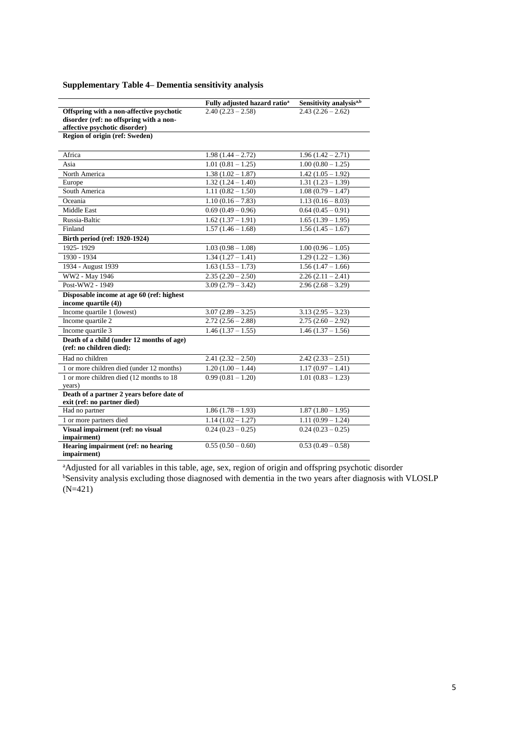### **Supplementary Table 4– Dementia sensitivity analysis**

|                                                                                                                      | Fully adjusted hazard ratio <sup>a</sup> | Sensitivity analysis <sup>a,b</sup> |
|----------------------------------------------------------------------------------------------------------------------|------------------------------------------|-------------------------------------|
| Offspring with a non-affective psychotic<br>disorder (ref: no offspring with a non-<br>affective psychotic disorder) | $2.40(2.23 - 2.58)$                      | $2.43(2.26-2.62)$                   |
| Region of origin (ref: Sweden)                                                                                       |                                          |                                     |
| Africa                                                                                                               | $1.98(1.44 - 2.72)$                      | $1.96(1.42 - 2.71)$                 |
| Asia                                                                                                                 | $\overline{1.01(0.81-1.25)}$             | $1.00(0.80 - 1.25)$                 |
| North America                                                                                                        | $\overline{1.38}$ $(1.02 - 1.87)$        | $1.42(1.05 - 1.92)$                 |
| Europe                                                                                                               | $1.32(1.24 - 1.40)$                      | $1.31(1.23 - 1.39)$                 |
| South America                                                                                                        | $1.11(0.82 - 1.50)$                      | $\overline{1.08}$ (0.79 - 1.47)     |
| Oceania                                                                                                              | $1.10(0.16 - 7.83)$                      | $1.13(0.16-8.03)$                   |
| Middle East                                                                                                          | $0.69(0.49-0.96)$                        | $0.64(0.45-0.91)$                   |
| Russia-Baltic                                                                                                        | $1.62(1.37 - 1.91)$                      | $1.65(1.39 - 1.95)$                 |
| Finland                                                                                                              | $1.57(1.46 - 1.68)$                      | $1.56(1.45 - 1.67)$                 |
| Birth period (ref: 1920-1924)                                                                                        |                                          |                                     |
| 1925-1929                                                                                                            | $1.03(0.98-1.08)$                        | $1.00(0.96 - 1.05)$                 |
| 1930 - 1934                                                                                                          | $1.34(1.27 - 1.41)$                      | $\overline{1.29}$ (1.22 – 1.36)     |
| 1934 - August 1939                                                                                                   | $\overline{1.63}$ $(1.53 - 1.73)$        | $1.56(1.47 - 1.66)$                 |
| WW2 - May 1946                                                                                                       | $2.35(2.20 - 2.50)$                      | $2.26(2.11 - 2.41)$                 |
| Post-WW2 - 1949                                                                                                      | $3.09(2.79 - 3.42)$                      | $2.96(2.68 - 3.29)$                 |
| Disposable income at age 60 (ref: highest<br>income quartile (4))                                                    |                                          |                                     |
| Income quartile 1 (lowest)                                                                                           | $3.07(2.89 - 3.25)$                      | $3.13(2.95 - 3.23)$                 |
| Income quartile 2                                                                                                    | $2.72(2.56 - 2.88)$                      | $2.75(2.60 - 2.92)$                 |
| Income quartile 3                                                                                                    | $1.46(1.37 - 1.55)$                      | $1.46(1.37 - 1.56)$                 |
| Death of a child (under 12 months of age)<br>(ref: no children died):                                                |                                          |                                     |
| Had no children                                                                                                      | $2.41(2.32 - 2.50)$                      | $2.42(2.33 - 2.51)$                 |
| 1 or more children died (under 12 months)                                                                            | $\overline{1.20}$ $(1.00 - 1.44)$        | $\overline{1.17(0.97-1.41)}$        |
| 1 or more children died (12 months to 18)<br>years)                                                                  | $0.99(0.81 - 1.20)$                      | $1.01(0.83 - 1.23)$                 |
| Death of a partner 2 years before date of<br>exit (ref: no partner died)                                             |                                          |                                     |
| Had no partner                                                                                                       | $1.86(1.78-1.93)$                        | $1.87(1.80 - 1.95)$                 |
| 1 or more partners died                                                                                              | $1.14(1.02 - 1.27)$                      | $1.11(0.99 - 1.24)$                 |
| Visual impairment (ref: no visual<br>impairment)                                                                     | $0.24(0.23-0.25)$                        | $0.24(0.23-0.25)$                   |
| Hearing impairment (ref: no hearing<br>impairment)                                                                   | $0.55(0.50 - 0.60)$                      | $0.53(0.49-0.58)$                   |

aAdjusted for all variables in this table, age, sex, region of origin and offspring psychotic disorder bSensivity analysis excluding those diagnosed with dementia in the two years after diagnosis with VLOSLP (N=421)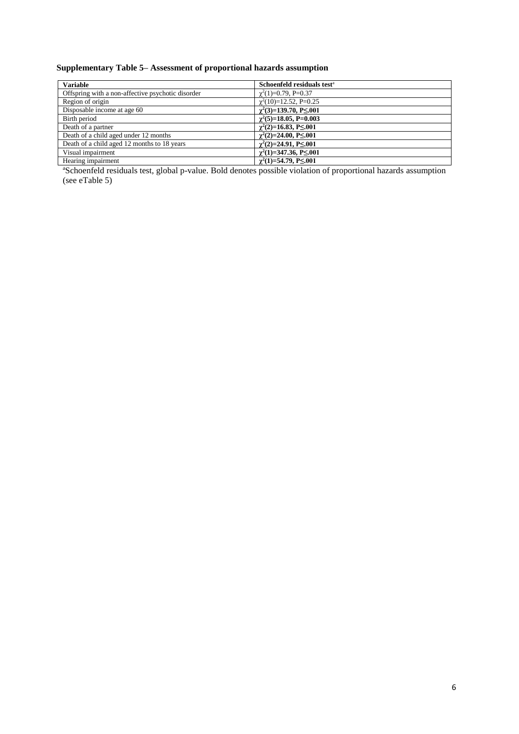### **Supplementary Table 5– Assessment of proportional hazards assumption**

| <b>Variable</b>                                   | Schoenfeld residuals test <sup>a</sup> |
|---------------------------------------------------|----------------------------------------|
| Offspring with a non-affective psychotic disorder | $\gamma^2(1)=0.79$ , P=0.37            |
| Region of origin                                  | $\gamma^2(10)=12.52$ , P=0.25          |
| Disposable income at age 60                       | $\gamma^2(3)=139.70, P\leq 0.01$       |
| Birth period                                      | $\gamma^2$ (5)=18.05, P=0.003          |
| Death of a partner                                | $\gamma^2(2)=16.83, P\leq 0.01$        |
| Death of a child aged under 12 months             | $\gamma^2(2)=24.00, P\leq 0.01$        |
| Death of a child aged 12 months to 18 years       | $\gamma^2(2)=24.91, P\leq 0.01$        |
| Visual impairment                                 | $\gamma^2(1)=347.36, P\leq 0.001$      |
| Hearing impairment                                | $\gamma^2(1)=54.79, P\leq 0.01$        |

<sup>a</sup>Schoenfeld residuals test, global p-value. Bold denotes possible violation of proportional hazards assumption (see eTable 5)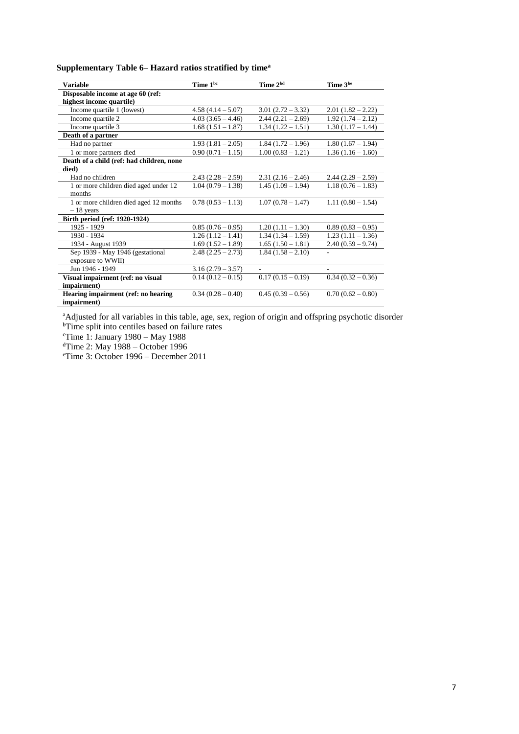**Supplementary Table 6– Hazard ratios stratified by time<sup>a</sup>**

| <b>Variable</b>                           | Time 1 <sup>bc</sup> | Time 2 <sup>bd</sup> | Time 3 <sup>be</sup> |
|-------------------------------------------|----------------------|----------------------|----------------------|
| Disposable income at age 60 (ref:         |                      |                      |                      |
| highest income quartile)                  |                      |                      |                      |
| Income quartile 1 (lowest)                | $4.58(4.14 - 5.07)$  | $3.01(2.72 - 3.32)$  | $2.01(1.82 - 2.22)$  |
| Income quartile 2                         | $4.03(3.65 - 4.46)$  | $2.44(2.21-2.69)$    | $1.92(1.74 - 2.12)$  |
| Income quartile 3                         | $1.68(1.51 - 1.87)$  | $1.34(1.22 - 1.51)$  | $1.30(1.17 - 1.44)$  |
| Death of a partner                        |                      |                      |                      |
| Had no partner                            | $1.93(1.81 - 2.05)$  | $1.84(1.72 - 1.96)$  | $1.80(1.67 - 1.94)$  |
| 1 or more partners died                   | $0.90(0.71 - 1.15)$  | $1.00(0.83 - 1.21)$  | $1.36(1.16 - 1.60)$  |
| Death of a child (ref: had children, none |                      |                      |                      |
| died)                                     |                      |                      |                      |
| Had no children                           | $2.43(2.28-2.59)$    | $2.31(2.16-2.46)$    | $2.44(2.29-2.59)$    |
| 1 or more children died aged under 12     | $1.04(0.79 - 1.38)$  | $1.45(1.09 - 1.94)$  | $1.18(0.76 - 1.83)$  |
| months                                    |                      |                      |                      |
| 1 or more children died aged 12 months    | $0.78(0.53 - 1.13)$  | $1.07(0.78 - 1.47)$  | $1.11(0.80 - 1.54)$  |
| $-18$ years                               |                      |                      |                      |
| Birth period (ref: 1920-1924)             |                      |                      |                      |
| 1925 - 1929                               | $0.85(0.76-0.95)$    | $1.20(1.11 - 1.30)$  | $0.89(0.83-0.95)$    |
| 1930 - 1934                               | $1.26(1.12 - 1.41)$  | $1.34(1.34-1.59)$    | $1.23(1.11 - 1.36)$  |
| 1934 - August 1939                        | $1.69(1.52 - 1.89)$  | $1.65(1.50 - 1.81)$  | $2.40(0.59 - 9.74)$  |
| Sep 1939 - May 1946 (gestational          | $2.48(2.25-2.73)$    | $1.84(1.58 - 2.10)$  |                      |
| exposure to WWII)                         |                      |                      |                      |
| Jun 1946 - 1949                           | $3.16(2.79 - 3.57)$  |                      |                      |
| Visual impairment (ref: no visual         | $0.14(0.12-0.15)$    | $0.17(0.15-0.19)$    | $0.34(0.32-0.36)$    |
| impairment)                               |                      |                      |                      |
| Hearing impairment (ref: no hearing       | $0.34(0.28-0.40)$    | $0.45(0.39-0.56)$    | $0.70(0.62 - 0.80)$  |
| impairment)                               |                      |                      |                      |

aAdjusted for all variables in this table, age, sex, region of origin and offspring psychotic disorder <sup>b</sup>Time split into centiles based on failure rates

<sup>c</sup>Time 1: January 1980 – May 1988

<sup>d</sup>Time 2: May 1988 – October 1996

<sup>e</sup>Time 3: October 1996 – December 2011